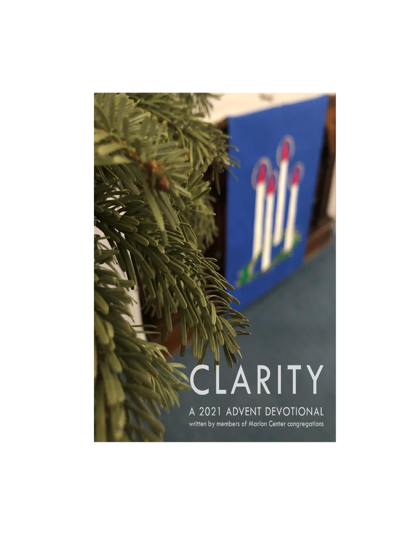# CLARITY A 2021 ADVENT DEVOTIONAL written by members of Marion Center congregations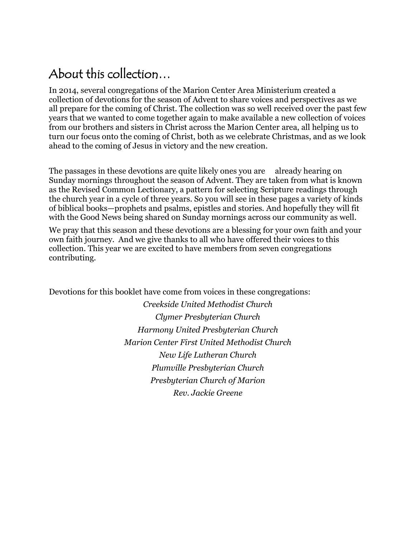# About this collection…

In 2014, several congregations of the Marion Center Area Ministerium created a collection of devotions for the season of Advent to share voices and perspectives as we all prepare for the coming of Christ. The collection was so well received over the past few years that we wanted to come together again to make available a new collection of voices from our brothers and sisters in Christ across the Marion Center area, all helping us to turn our focus onto the coming of Christ, both as we celebrate Christmas, and as we look ahead to the coming of Jesus in victory and the new creation.

The passages in these devotions are quite likely ones you are already hearing on Sunday mornings throughout the season of Advent. They are taken from what is known as the Revised Common Lectionary, a pattern for selecting Scripture readings through the church year in a cycle of three years. So you will see in these pages a variety of kinds of biblical books—prophets and psalms, epistles and stories. And hopefully they will fit with the Good News being shared on Sunday mornings across our community as well.

We pray that this season and these devotions are a blessing for your own faith and your own faith journey. And we give thanks to all who have offered their voices to this collection. This year we are excited to have members from seven congregations contributing.

Devotions for this booklet have come from voices in these congregations:

*Creekside United Methodist Church Clymer Presbyterian Church Harmony United Presbyterian Church Marion Center First United Methodist Church New Life Lutheran Church Plumville Presbyterian Church Presbyterian Church of Marion Rev. Jackie Greene*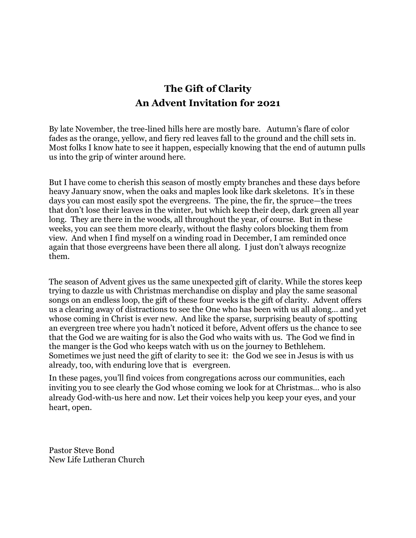### **The Gift of Clarity An Advent Invitation for 2021**

By late November, the tree-lined hills here are mostly bare. Autumn's flare of color fades as the orange, yellow, and fiery red leaves fall to the ground and the chill sets in. Most folks I know hate to see it happen, especially knowing that the end of autumn pulls us into the grip of winter around here.

But I have come to cherish this season of mostly empty branches and these days before heavy January snow, when the oaks and maples look like dark skeletons. It's in these days you can most easily spot the evergreens. The pine, the fir, the spruce—the trees that don't lose their leaves in the winter, but which keep their deep, dark green all year long. They are there in the woods, all throughout the year, of course. But in these weeks, you can see them more clearly, without the flashy colors blocking them from view. And when I find myself on a winding road in December, I am reminded once again that those evergreens have been there all along. I just don't always recognize them.

The season of Advent gives us the same unexpected gift of clarity. While the stores keep trying to dazzle us with Christmas merchandise on display and play the same seasonal songs on an endless loop, the gift of these four weeks is the gift of clarity. Advent offers us a clearing away of distractions to see the One who has been with us all along… and yet whose coming in Christ is ever new. And like the sparse, surprising beauty of spotting an evergreen tree where you hadn't noticed it before, Advent offers us the chance to see that the God we are waiting for is also the God who waits with us. The God we find in the manger is the God who keeps watch with us on the journey to Bethlehem. Sometimes we just need the gift of clarity to see it: the God we see in Jesus is with us already, too, with enduring love that is evergreen.

In these pages, you'll find voices from congregations across our communities, each inviting you to see clearly the God whose coming we look for at Christmas… who is also already God-with-us here and now. Let their voices help you keep your eyes, and your heart, open.

Pastor Steve Bond New Life Lutheran Church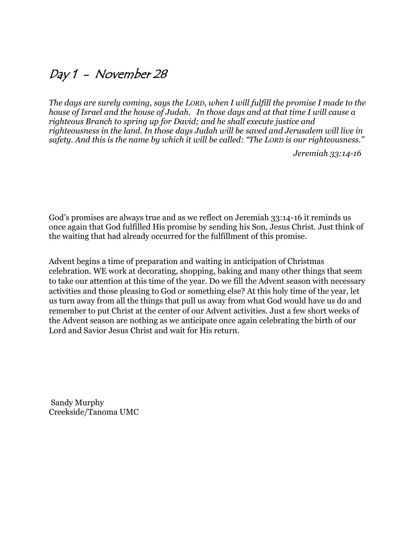### Day 1 - November 28

*The days are surely coming, says the LORD, when I will fulfill the promise I made to the house of Israel and the house of Judah. In those days and at that time I will cause a righteous Branch to spring up for David; and he shall execute justice and righteousness in the land. In those days Judah will be saved and Jerusalem will live in safety. And this is the name by which it will be called: "The LORD is our righteousness."*

*Jeremiah 33:14-16*

God's promises are always true and as we reflect on Jeremiah 33:14-16 it reminds us once again that God fulfilled His promise by sending his Son, Jesus Christ. Just think of the waiting that had already occurred for the fulfillment of this promise.

Advent begins a time of preparation and waiting in anticipation of Christmas celebration. WE work at decorating, shopping, baking and many other things that seem to take our attention at this time of the year. Do we fill the Advent season with necessary activities and those pleasing to God or something else? At this holy time of the year, let us turn away from all the things that pull us away from what God would have us do and remember to put Christ at the center of our Advent activities. Just a few short weeks of the Advent season are nothing as we anticipate once again celebrating the birth of our Lord and Savior Jesus Christ and wait for His return.

Sandy Murphy Creekside/Tanoma UMC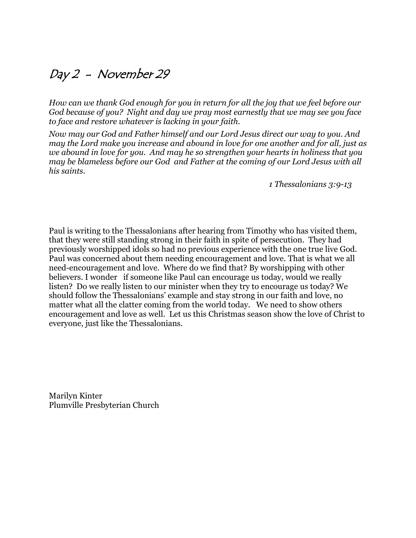### Day 2 - November 29

*How can we thank God enough for you in return for all the joy that we feel before our God because of you? Night and day we pray most earnestly that we may see you face to face and restore whatever is lacking in your faith.* 

*Now may our God and Father himself and our Lord Jesus direct our way to you. And may the Lord make you increase and abound in love for one another and for all, just as we abound in love for you. And may he so strengthen your hearts in holiness that you may be blameless before our God and Father at the coming of our Lord Jesus with all his saints.* 

*1 Thessalonians 3:9-13*

Paul is writing to the Thessalonians after hearing from Timothy who has visited them, that they were still standing strong in their faith in spite of persecution. They had previously worshipped idols so had no previous experience with the one true live God. Paul was concerned about them needing encouragement and love. That is what we all need-encouragement and love. Where do we find that? By worshipping with other believers. I wonder if someone like Paul can encourage us today, would we really listen? Do we really listen to our minister when they try to encourage us today? We should follow the Thessalonians' example and stay strong in our faith and love, no matter what all the clatter coming from the world today. We need to show others encouragement and love as well. Let us this Christmas season show the love of Christ to everyone, just like the Thessalonians.

Marilyn Kinter Plumville Presbyterian Church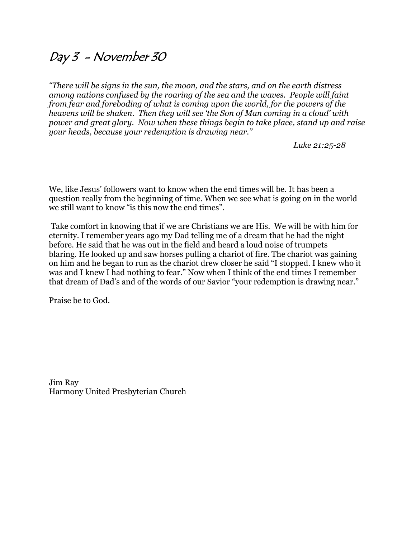### Day 3 - November 30

*"There will be signs in the sun, the moon, and the stars, and on the earth distress among nations confused by the roaring of the sea and the waves. People will faint from fear and foreboding of what is coming upon the world, for the powers of the heavens will be shaken. Then they will see 'the Son of Man coming in a cloud' with power and great glory. Now when these things begin to take place, stand up and raise your heads, because your redemption is drawing near."*

*Luke 21:25-28*

We, like Jesus' followers want to know when the end times will be. It has been a question really from the beginning of time. When we see what is going on in the world we still want to know "is this now the end times".

Take comfort in knowing that if we are Christians we are His. We will be with him for eternity. I remember years ago my Dad telling me of a dream that he had the night before. He said that he was out in the field and heard a loud noise of trumpets blaring. He looked up and saw horses pulling a chariot of fire. The chariot was gaining on him and he began to run as the chariot drew closer he said "I stopped. I knew who it was and I knew I had nothing to fear." Now when I think of the end times I remember that dream of Dad's and of the words of our Savior "your redemption is drawing near."

Praise be to God.

Jim Ray Harmony United Presbyterian Church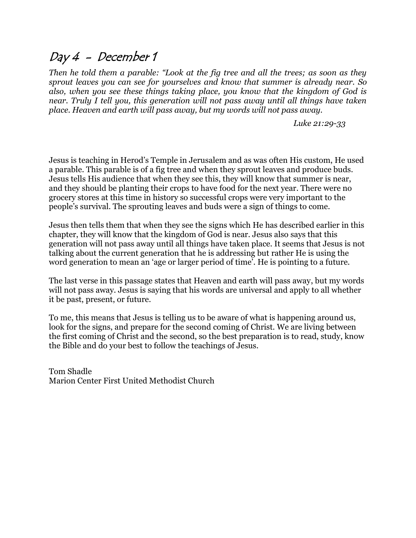### Day 4 - December 1

*Then he told them a parable: "Look at the fig tree and all the trees; as soon as they sprout leaves you can see for yourselves and know that summer is already near. So also, when you see these things taking place, you know that the kingdom of God is near. Truly I tell you, this generation will not pass away until all things have taken place. Heaven and earth will pass away, but my words will not pass away.*

*Luke 21:29-33*

Jesus is teaching in Herod's Temple in Jerusalem and as was often His custom, He used a parable. This parable is of a fig tree and when they sprout leaves and produce buds. Jesus tells His audience that when they see this, they will know that summer is near, and they should be planting their crops to have food for the next year. There were no grocery stores at this time in history so successful crops were very important to the people's survival. The sprouting leaves and buds were a sign of things to come.

Jesus then tells them that when they see the signs which He has described earlier in this chapter, they will know that the kingdom of God is near. Jesus also says that this generation will not pass away until all things have taken place. It seems that Jesus is not talking about the current generation that he is addressing but rather He is using the word generation to mean an 'age or larger period of time'. He is pointing to a future.

The last verse in this passage states that Heaven and earth will pass away, but my words will not pass away. Jesus is saying that his words are universal and apply to all whether it be past, present, or future.

To me, this means that Jesus is telling us to be aware of what is happening around us, look for the signs, and prepare for the second coming of Christ. We are living between the first coming of Christ and the second, so the best preparation is to read, study, know the Bible and do your best to follow the teachings of Jesus.

Tom Shadle Marion Center First United Methodist Church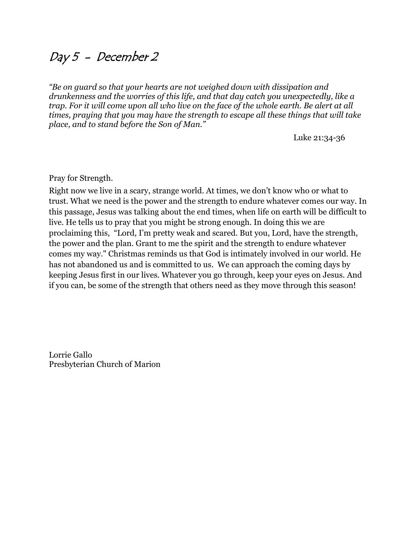### Day 5 - December 2

*"Be on guard so that your hearts are not weighed down with dissipation and drunkenness and the worries of this life, and that day catch you unexpectedly, like a trap. For it will come upon all who live on the face of the whole earth. Be alert at all times, praying that you may have the strength to escape all these things that will take place, and to stand before the Son of Man."*

Luke 21:34-36

### Pray for Strength.

Right now we live in a scary, strange world. At times, we don't know who or what to trust. What we need is the power and the strength to endure whatever comes our way. In this passage, Jesus was talking about the end times, when life on earth will be difficult to live. He tells us to pray that you might be strong enough. In doing this we are proclaiming this, "Lord, I'm pretty weak and scared. But you, Lord, have the strength, the power and the plan. Grant to me the spirit and the strength to endure whatever comes my way." Christmas reminds us that God is intimately involved in our world. He has not abandoned us and is committed to us. We can approach the coming days by keeping Jesus first in our lives. Whatever you go through, keep your eyes on Jesus. And if you can, be some of the strength that others need as they move through this season!

Lorrie Gallo Presbyterian Church of Marion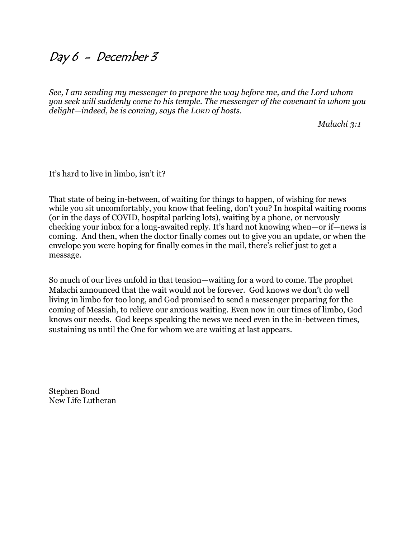### Day 6 - December 3

*See, I am sending my messenger to prepare the way before me, and the Lord whom you seek will suddenly come to his temple. The messenger of the covenant in whom you delight—indeed, he is coming, says the LORD of hosts.*

*Malachi 3:1*

It's hard to live in limbo, isn't it?

That state of being in-between, of waiting for things to happen, of wishing for news while you sit uncomfortably, you know that feeling, don't you? In hospital waiting rooms (or in the days of COVID, hospital parking lots), waiting by a phone, or nervously checking your inbox for a long-awaited reply. It's hard not knowing when—or if—news is coming. And then, when the doctor finally comes out to give you an update, or when the envelope you were hoping for finally comes in the mail, there's relief just to get a message.

So much of our lives unfold in that tension—waiting for a word to come. The prophet Malachi announced that the wait would not be forever. God knows we don't do well living in limbo for too long, and God promised to send a messenger preparing for the coming of Messiah, to relieve our anxious waiting. Even now in our times of limbo, God knows our needs. God keeps speaking the news we need even in the in-between times, sustaining us until the One for whom we are waiting at last appears.

Stephen Bond New Life Lutheran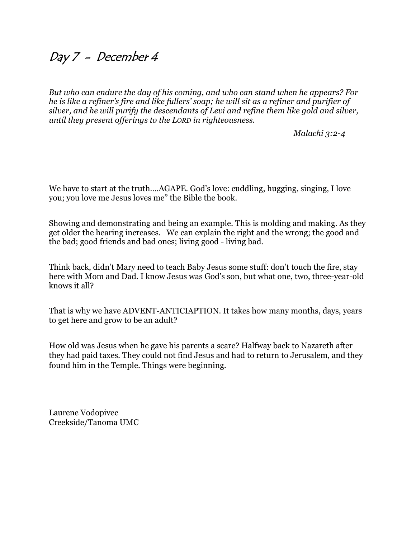### Day 7 - December 4

*But who can endure the day of his coming, and who can stand when he appears? For he is like a refiner's fire and like fullers' soap; he will sit as a refiner and purifier of silver, and he will purify the descendants of Levi and refine them like gold and silver, until they present offerings to the LORD in righteousness.*

*Malachi 3:2-4*

We have to start at the truth....AGAPE. God's love: cuddling, hugging, singing, I love you; you love me Jesus loves me" the Bible the book.

Showing and demonstrating and being an example. This is molding and making. As they get older the hearing increases. We can explain the right and the wrong; the good and the bad; good friends and bad ones; living good - living bad.

Think back, didn't Mary need to teach Baby Jesus some stuff: don't touch the fire, stay here with Mom and Dad. I know Jesus was God's son, but what one, two, three-year-old knows it all?

That is why we have ADVENT-ANTICIAPTION. It takes how many months, days, years to get here and grow to be an adult?

How old was Jesus when he gave his parents a scare? Halfway back to Nazareth after they had paid taxes. They could not find Jesus and had to return to Jerusalem, and they found him in the Temple. Things were beginning.

Laurene Vodopivec Creekside/Tanoma UMC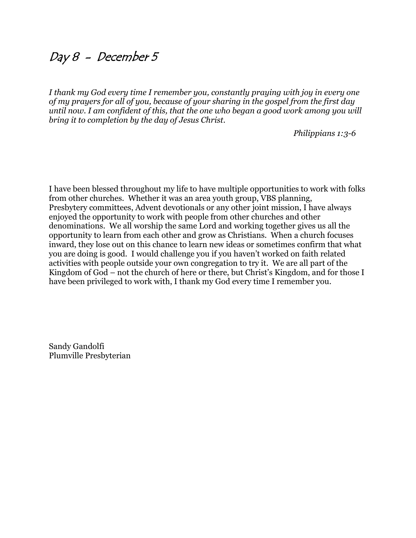### Day 8 - December 5

*I thank my God every time I remember you, constantly praying with joy in every one of my prayers for all of you, because of your sharing in the gospel from the first day until now. I am confident of this, that the one who began a good work among you will bring it to completion by the day of Jesus Christ.*

*Philippians 1:3-6*

I have been blessed throughout my life to have multiple opportunities to work with folks from other churches. Whether it was an area youth group, VBS planning, Presbytery committees, Advent devotionals or any other joint mission, I have always enjoyed the opportunity to work with people from other churches and other denominations. We all worship the same Lord and working together gives us all the opportunity to learn from each other and grow as Christians. When a church focuses inward, they lose out on this chance to learn new ideas or sometimes confirm that what you are doing is good. I would challenge you if you haven't worked on faith related activities with people outside your own congregation to try it. We are all part of the Kingdom of God – not the church of here or there, but Christ's Kingdom, and for those I have been privileged to work with, I thank my God every time I remember you.

Sandy Gandolfi Plumville Presbyterian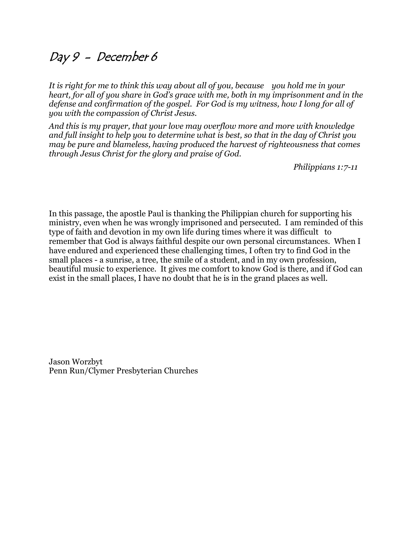### Day 9 - December 6

*It is right for me to think this way about all of you, because you hold me in your heart, for all of you share in God's grace with me, both in my imprisonment and in the defense and confirmation of the gospel. For God is my witness, how I long for all of you with the compassion of Christ Jesus.* 

*And this is my prayer, that your love may overflow more and more with knowledge and full insight to help you to determine what is best, so that in the day of Christ you may be pure and blameless, having produced the harvest of righteousness that comes through Jesus Christ for the glory and praise of God.* 

*Philippians 1:7-11*

In this passage, the apostle Paul is thanking the Philippian church for supporting his ministry, even when he was wrongly imprisoned and persecuted. I am reminded of this type of faith and devotion in my own life during times where it was difficult to remember that God is always faithful despite our own personal circumstances. When I have endured and experienced these challenging times, I often try to find God in the small places - a sunrise, a tree, the smile of a student, and in my own profession, beautiful music to experience. It gives me comfort to know God is there, and if God can exist in the small places, I have no doubt that he is in the grand places as well.

Jason Worzbyt Penn Run/Clymer Presbyterian Churches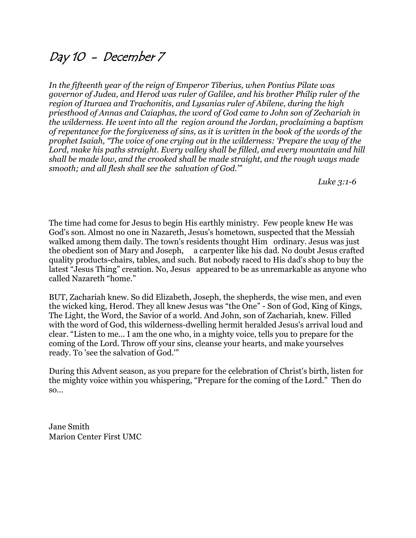### Day 10 - December 7

*In the fifteenth year of the reign of Emperor Tiberius, when Pontius Pilate was governor of Judea, and Herod was ruler of Galilee, and his brother Philip ruler of the region of Ituraea and Trachonitis, and Lysanias ruler of Abilene, during the high priesthood of Annas and Caiaphas, the word of God came to John son of Zechariah in the wilderness. He went into all the region around the Jordan, proclaiming a baptism of repentance for the forgiveness of sins, as it is written in the book of the words of the prophet Isaiah, "The voice of one crying out in the wilderness: 'Prepare the way of the Lord, make his paths straight. Every valley shall be filled, and every mountain and hill shall be made low, and the crooked shall be made straight, and the rough ways made smooth; and all flesh shall see the salvation of God.'"*

*Luke 3:1-6*

The time had come for Jesus to begin His earthly ministry. Few people knew He was God's son. Almost no one in Nazareth, Jesus's hometown, suspected that the Messiah walked among them daily. The town's residents thought Him ordinary. Jesus was just the obedient son of Mary and Joseph, a carpenter like his dad. No doubt Jesus crafted quality products-chairs, tables, and such. But nobody raced to His dad's shop to buy the latest "Jesus Thing" creation. No, Jesus appeared to be as unremarkable as anyone who called Nazareth "home."

BUT, Zachariah knew. So did Elizabeth, Joseph, the shepherds, the wise men, and even the wicked king, Herod. They all knew Jesus was "the One" - Son of God, King of Kings, The Light, the Word, the Savior of a world. And John, son of Zachariah, knew. Filled with the word of God, this wilderness-dwelling hermit heralded Jesus's arrival loud and clear. "Listen to me... I am the one who, in a mighty voice, tells you to prepare for the coming of the Lord. Throw off your sins, cleanse your hearts, and make yourselves ready. To 'see the salvation of God.'"

During this Advent season, as you prepare for the celebration of Christ's birth, listen for the mighty voice within you whispering, "Prepare for the coming of the Lord." Then do so…

Jane Smith Marion Center First UMC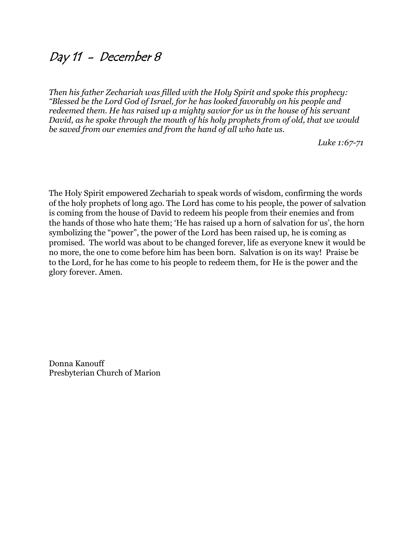### Day 11 - December 8

*Then his father Zechariah was filled with the Holy Spirit and spoke this prophecy: "Blessed be the Lord God of Israel, for he has looked favorably on his people and redeemed them. He has raised up a mighty savior for us in the house of his servant David, as he spoke through the mouth of his holy prophets from of old, that we would be saved from our enemies and from the hand of all who hate us.*

*Luke 1:67-71*

The Holy Spirit empowered Zechariah to speak words of wisdom, confirming the words of the holy prophets of long ago. The Lord has come to his people, the power of salvation is coming from the house of David to redeem his people from their enemies and from the hands of those who hate them; 'He has raised up a horn of salvation for us', the horn symbolizing the "power", the power of the Lord has been raised up, he is coming as promised. The world was about to be changed forever, life as everyone knew it would be no more, the one to come before him has been born. Salvation is on its way! Praise be to the Lord, for he has come to his people to redeem them, for He is the power and the glory forever. Amen.

Donna Kanouff Presbyterian Church of Marion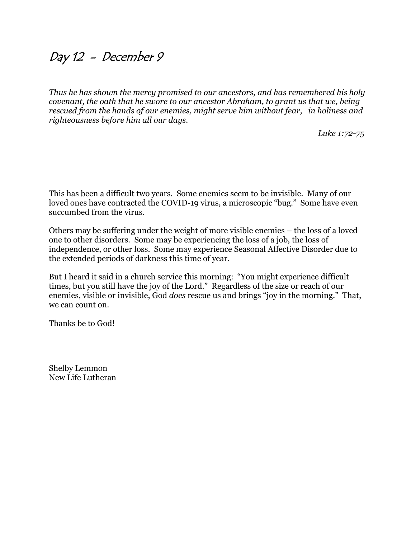### Day 12 - December 9

*Thus he has shown the mercy promised to our ancestors, and has remembered his holy covenant, the oath that he swore to our ancestor Abraham, to grant us that we, being rescued from the hands of our enemies, might serve him without fear, in holiness and righteousness before him all our days.*

*Luke 1:72-75*

This has been a difficult two years. Some enemies seem to be invisible. Many of our loved ones have contracted the COVID-19 virus, a microscopic "bug." Some have even succumbed from the virus.

Others may be suffering under the weight of more visible enemies – the loss of a loved one to other disorders. Some may be experiencing the loss of a job, the loss of independence, or other loss. Some may experience Seasonal Affective Disorder due to the extended periods of darkness this time of year.

But I heard it said in a church service this morning: "You might experience difficult times, but you still have the joy of the Lord." Regardless of the size or reach of our enemies, visible or invisible, God *does* rescue us and brings "joy in the morning." That, we can count on.

Thanks be to God!

Shelby Lemmon New Life Lutheran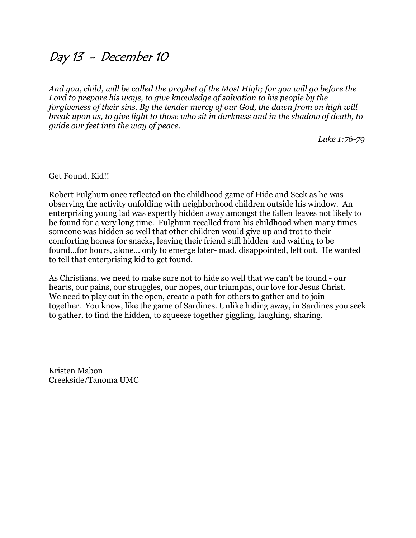### Day 13 - December 10

*And you, child, will be called the prophet of the Most High; for you will go before the Lord to prepare his ways, to give knowledge of salvation to his people by the forgiveness of their sins. By the tender mercy of our God, the dawn from on high will break upon us, to give light to those who sit in darkness and in the shadow of death, to guide our feet into the way of peace.*

*Luke 1:76-79*

Get Found, Kid!!

Robert Fulghum once reflected on the childhood game of Hide and Seek as he was observing the activity unfolding with neighborhood children outside his window. An enterprising young lad was expertly hidden away amongst the fallen leaves not likely to be found for a very long time. Fulghum recalled from his childhood when many times someone was hidden so well that other children would give up and trot to their comforting homes for snacks, leaving their friend still hidden and waiting to be found...for hours, alone… only to emerge later- mad, disappointed, left out. He wanted to tell that enterprising kid to get found.

As Christians, we need to make sure not to hide so well that we can't be found - our hearts, our pains, our struggles, our hopes, our triumphs, our love for Jesus Christ. We need to play out in the open, create a path for others to gather and to join together. You know, like the game of Sardines. Unlike hiding away, in Sardines you seek to gather, to find the hidden, to squeeze together giggling, laughing, sharing.

Kristen Mabon Creekside/Tanoma UMC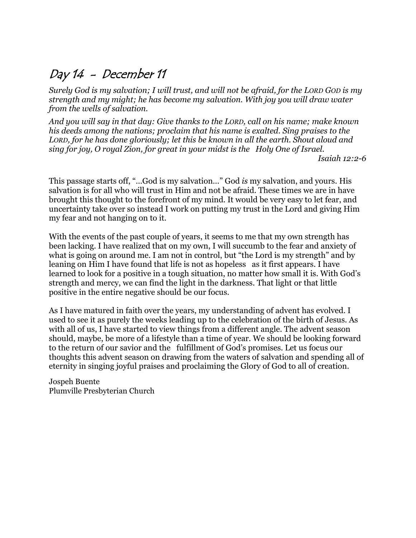### Day 14 - December 11

*Surely God is my salvation; I will trust, and will not be afraid, for the LORD GOD is my strength and my might; he has become my salvation. With joy you will draw water from the wells of salvation.* 

*And you will say in that day: Give thanks to the LORD, call on his name; make known his deeds among the nations; proclaim that his name is exalted. Sing praises to the LORD, for he has done gloriously; let this be known in all the earth. Shout aloud and sing for joy, O royal Zion, for great in your midst is the Holy One of Israel.* 

*Isaiah 12:2-6*

This passage starts off, "…God is my salvation…" God *is* my salvation, and yours. His salvation is for all who will trust in Him and not be afraid. These times we are in have brought this thought to the forefront of my mind. It would be very easy to let fear, and uncertainty take over so instead I work on putting my trust in the Lord and giving Him my fear and not hanging on to it.

With the events of the past couple of years, it seems to me that my own strength has been lacking. I have realized that on my own, I will succumb to the fear and anxiety of what is going on around me. I am not in control, but "the Lord is my strength" and by leaning on Him I have found that life is not as hopeless as it first appears. I have learned to look for a positive in a tough situation, no matter how small it is. With God's strength and mercy, we can find the light in the darkness. That light or that little positive in the entire negative should be our focus.

As I have matured in faith over the years, my understanding of advent has evolved. I used to see it as purely the weeks leading up to the celebration of the birth of Jesus. As with all of us, I have started to view things from a different angle. The advent season should, maybe, be more of a lifestyle than a time of year. We should be looking forward to the return of our savior and the fulfillment of God's promises. Let us focus our thoughts this advent season on drawing from the waters of salvation and spending all of eternity in singing joyful praises and proclaiming the Glory of God to all of creation.

Jospeh Buente Plumville Presbyterian Church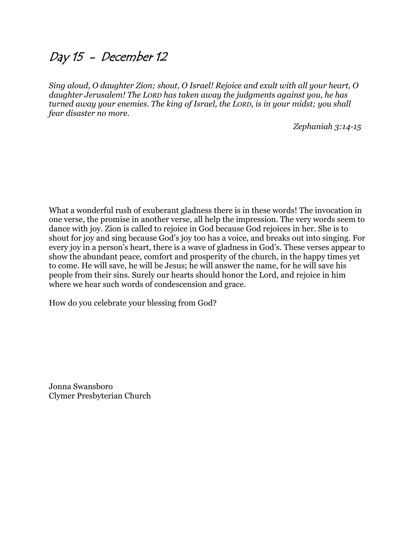### Day 15 - December 12

*Sing aloud, O daughter Zion; shout, O Israel! Rejoice and exult with all your heart, O daughter Jerusalem! The LORD has taken away the judgments against you, he has turned away your enemies. The king of Israel, the LORD, is in your midst; you shall fear disaster no more.*

*Zephaniah 3:14-15*

What a wonderful rush of exuberant gladness there is in these words! The invocation in one verse, the promise in another verse, all help the impression. The very words seem to dance with joy. Zion is called to rejoice in God because God rejoices in her. She is to shout for joy and sing because God's joy too has a voice, and breaks out into singing. For every joy in a person's heart, there is a wave of gladness in God's. These verses appear to show the abundant peace, comfort and prosperity of the church, in the happy times yet to come. He will save, he will be Jesus; he will answer the name, for he will save his people from their sins. Surely our hearts should honor the Lord, and rejoice in him where we hear such words of condescension and grace.

How do you celebrate your blessing from God?

Jonna Swansboro Clymer Presbyterian Church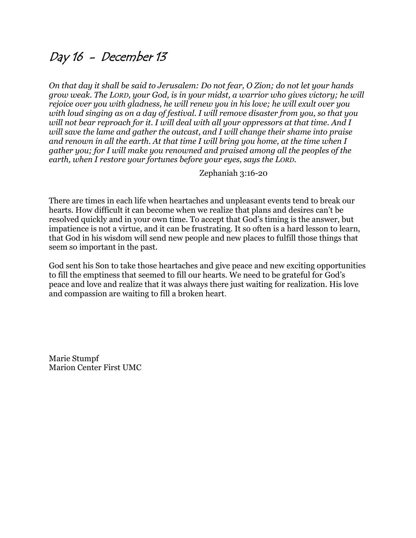### Day 16 - December 13

*On that day it shall be said to Jerusalem: Do not fear, O Zion; do not let your hands grow weak. The LORD, your God, is in your midst, a warrior who gives victory; he will rejoice over you with gladness, he will renew you in his love; he will exult over you with loud singing as on a day of festival. I will remove disaster from you, so that you will not bear reproach for it. I will deal with all your oppressors at that time. And I will save the lame and gather the outcast, and I will change their shame into praise and renown in all the earth. At that time I will bring you home, at the time when I gather you; for I will make you renowned and praised among all the peoples of the earth, when I restore your fortunes before your eyes, says the LORD.*

Zephaniah 3:16-20

There are times in each life when heartaches and unpleasant events tend to break our hearts. How difficult it can become when we realize that plans and desires can't be resolved quickly and in your own time. To accept that God's timing is the answer, but impatience is not a virtue, and it can be frustrating. It so often is a hard lesson to learn, that God in his wisdom will send new people and new places to fulfill those things that seem so important in the past.

God sent his Son to take those heartaches and give peace and new exciting opportunities to fill the emptiness that seemed to fill our hearts. We need to be grateful for God's peace and love and realize that it was always there just waiting for realization. His love and compassion are waiting to fill a broken heart.

Marie Stumpf Marion Center First UMC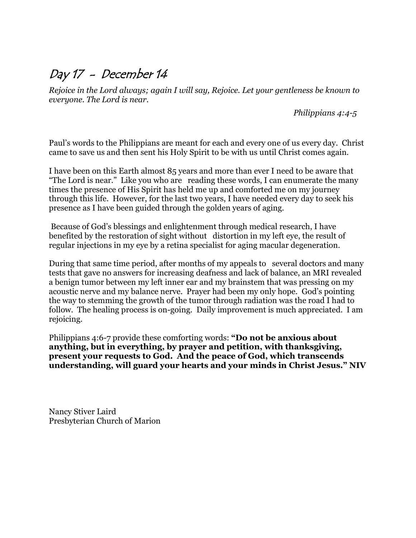## Day 17 - December 14

*Rejoice in the Lord always; again I will say, Rejoice. Let your gentleness be known to everyone. The Lord is near.*

 *Philippians 4:4-5*

Paul's words to the Philippians are meant for each and every one of us every day. Christ came to save us and then sent his Holy Spirit to be with us until Christ comes again.

I have been on this Earth almost 85 years and more than ever I need to be aware that "The Lord is near." Like you who are reading these words, I can enumerate the many times the presence of His Spirit has held me up and comforted me on my journey through this life. However, for the last two years, I have needed every day to seek his presence as I have been guided through the golden years of aging.

Because of God's blessings and enlightenment through medical research, I have benefited by the restoration of sight without distortion in my left eye, the result of regular injections in my eye by a retina specialist for aging macular degeneration.

During that same time period, after months of my appeals to several doctors and many tests that gave no answers for increasing deafness and lack of balance, an MRI revealed a benign tumor between my left inner ear and my brainstem that was pressing on my acoustic nerve and my balance nerve. Prayer had been my only hope. God's pointing the way to stemming the growth of the tumor through radiation was the road I had to follow. The healing process is on-going. Daily improvement is much appreciated. I am rejoicing.

Philippians 4:6-7 provide these comforting words: **"Do not be anxious about anything, but in everything, by prayer and petition, with thanksgiving, present your requests to God. And the peace of God, which transcends understanding, will guard your hearts and your minds in Christ Jesus." NIV**

Nancy Stiver Laird Presbyterian Church of Marion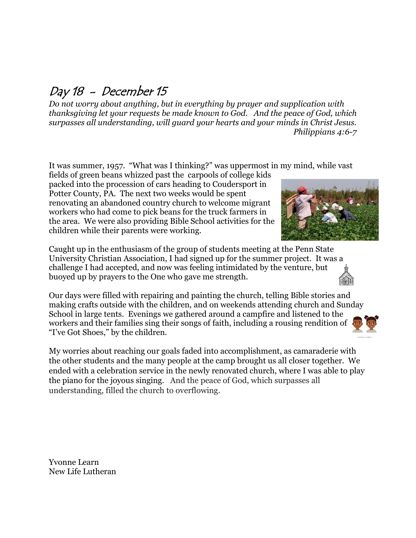## Day 18 - December 15

*Do not worry about anything, but in everything by prayer and supplication with thanksgiving let your requests be made known to God. And the peace of God, which surpasses all understanding, will guard your hearts and your minds in Christ Jesus. Philippians 4:6-7*

It was summer, 1957. "What was I thinking?" was uppermost in my mind, while vast

fields of green beans whizzed past the carpools of college kids packed into the procession of cars heading to Coudersport in Potter County, PA. The next two weeks would be spent renovating an abandoned country church to welcome migrant workers who had come to pick beans for the truck farmers in the area. We were also providing Bible School activities for the children while their parents were working.

Caught up in the enthusiasm of the group of students meeting at the Penn State University Christian Association, I had signed up for the summer project. It was a challenge I had accepted, and now was feeling intimidated by the venture, but buoyed up by prayers to the One who gave me strength.

Our days were filled with repairing and painting the church, telling Bible stories and making crafts outside with the children, and on weekends attending church and Sunday School in large tents. Evenings we gathered around a campfire and listened to the workers and their families sing their songs of faith, including a rousing rendition of "I've Got Shoes," by the children.

My worries about reaching our goals faded into accomplishment, as camaraderie with the other students and the many people at the camp brought us all closer together. We ended with a celebration service in the newly renovated church, where I was able to play the piano for the joyous singing. And the peace of God, which surpasses all understanding, filled the church to overflowing.

Yvonne Learn New Life Lutheran



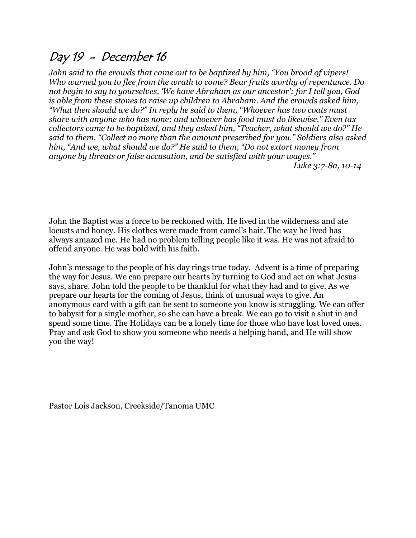### Day 19 - December 16

*John said to the crowds that came out to be baptized by him, "You brood of vipers! Who warned you to flee from the wrath to come? Bear fruits worthy of repentance. Do not begin to say to yourselves, 'We have Abraham as our ancestor'; for I tell you, God is able from these stones to raise up children to Abraham. And the crowds asked him, "What then should we do?" In reply he said to them, "Whoever has two coats must share with anyone who has none; and whoever has food must do likewise." Even tax collectors came to be baptized, and they asked him, "Teacher, what should we do?" He said to them, "Collect no more than the amount prescribed for you." Soldiers also asked him, "And we, what should we do?" He said to them, "Do not extort money from anyone by threats or false accusation, and be satisfied with your wages."*

*Luke 3:7-8a, 10-14*

John the Baptist was a force to be reckoned with. He lived in the wilderness and ate locusts and honey. His clothes were made from camel's hair. The way he lived has always amazed me. He had no problem telling people like it was. He was not afraid to offend anyone. He was bold with his faith.

John's message to the people of his day rings true today. Advent is a time of preparing the way for Jesus. We can prepare our hearts by turning to God and act on what Jesus says, share. John told the people to be thankful for what they had and to give. As we prepare our hearts for the coming of Jesus, think of unusual ways to give. An anonymous card with a gift can be sent to someone you know is struggling. We can offer to babysit for a single mother, so she can have a break. We can go to visit a shut in and spend some time. The Holidays can be a lonely time for those who have lost loved ones. Pray and ask God to show you someone who needs a helping hand, and He will show you the way!

Pastor Lois Jackson, Creekside/Tanoma UMC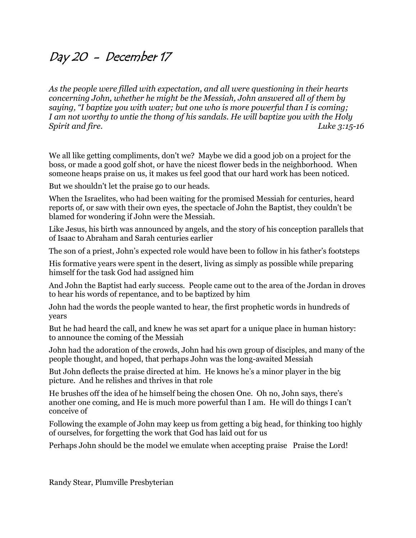### Day 20 - December 17

*As the people were filled with expectation, and all were questioning in their hearts concerning John, whether he might be the Messiah, John answered all of them by saying, "I baptize you with water; but one who is more powerful than I is coming; I am not worthy to untie the thong of his sandals. He will baptize you with the Holy Spirit and fire. Luke 3:15-16*

We all like getting compliments, don't we? Maybe we did a good job on a project for the boss, or made a good golf shot, or have the nicest flower beds in the neighborhood. When someone heaps praise on us, it makes us feel good that our hard work has been noticed.

But we shouldn't let the praise go to our heads.

When the Israelites, who had been waiting for the promised Messiah for centuries, heard reports of, or saw with their own eyes, the spectacle of John the Baptist, they couldn't be blamed for wondering if John were the Messiah.

Like Jesus, his birth was announced by angels, and the story of his conception parallels that of Isaac to Abraham and Sarah centuries earlier

The son of a priest, John's expected role would have been to follow in his father's footsteps

His formative years were spent in the desert, living as simply as possible while preparing himself for the task God had assigned him

And John the Baptist had early success. People came out to the area of the Jordan in droves to hear his words of repentance, and to be baptized by him

John had the words the people wanted to hear, the first prophetic words in hundreds of years

But he had heard the call, and knew he was set apart for a unique place in human history: to announce the coming of the Messiah

John had the adoration of the crowds, John had his own group of disciples, and many of the people thought, and hoped, that perhaps John was the long-awaited Messiah

But John deflects the praise directed at him. He knows he's a minor player in the big picture. And he relishes and thrives in that role

He brushes off the idea of he himself being the chosen One. Oh no, John says, there's another one coming, and He is much more powerful than I am. He will do things I can't conceive of

Following the example of John may keep us from getting a big head, for thinking too highly of ourselves, for forgetting the work that God has laid out for us

Perhaps John should be the model we emulate when accepting praise Praise the Lord!

Randy Stear, Plumville Presbyterian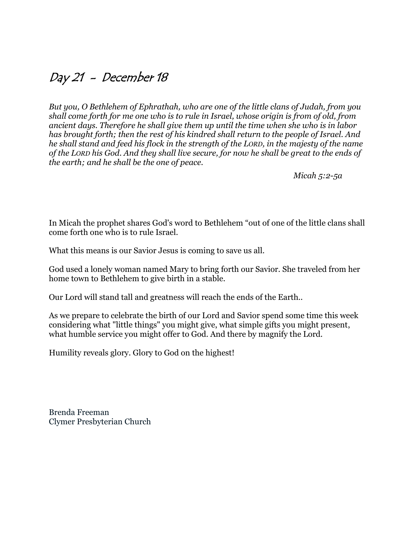### Day 21 - December 18

*But you, O Bethlehem of Ephrathah, who are one of the little clans of Judah, from you shall come forth for me one who is to rule in Israel, whose origin is from of old, from ancient days. Therefore he shall give them up until the time when she who is in labor has brought forth; then the rest of his kindred shall return to the people of Israel. And he shall stand and feed his flock in the strength of the LORD, in the majesty of the name of the LORD his God. And they shall live secure, for now he shall be great to the ends of the earth; and he shall be the one of peace.*

*Micah 5:2-5a*

In Micah the prophet shares God's word to Bethlehem "out of one of the little clans shall come forth one who is to rule Israel.

What this means is our Savior Jesus is coming to save us all.

God used a lonely woman named Mary to bring forth our Savior. She traveled from her home town to Bethlehem to give birth in a stable.

Our Lord will stand tall and greatness will reach the ends of the Earth..

As we prepare to celebrate the birth of our Lord and Savior spend some time this week considering what "little things" you might give, what simple gifts you might present, what humble service you might offer to God. And there by magnify the Lord.

Humility reveals glory. Glory to God on the highest!

Brenda Freeman Clymer Presbyterian Church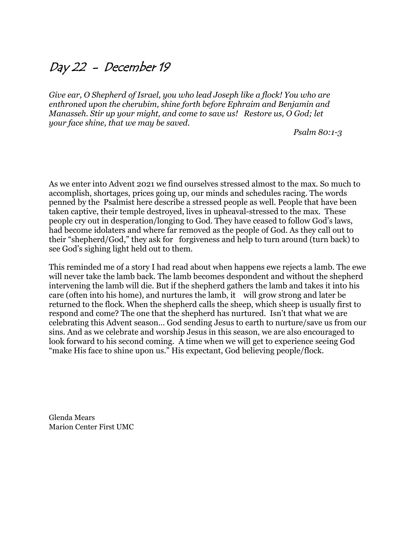### Day 22 - December 19

*Give ear, O Shepherd of Israel, you who lead Joseph like a flock! You who are enthroned upon the cherubim, shine forth before Ephraim and Benjamin and Manasseh. Stir up your might, and come to save us! Restore us, O God; let your face shine, that we may be saved.* 

*Psalm 80:1-3*

As we enter into Advent 2021 we find ourselves stressed almost to the max. So much to accomplish, shortages, prices going up, our minds and schedules racing. The words penned by the Psalmist here describe a stressed people as well. People that have been taken captive, their temple destroyed, lives in upheaval-stressed to the max. These people cry out in desperation/longing to God. They have ceased to follow God's laws, had become idolaters and where far removed as the people of God. As they call out to their "shepherd/God," they ask for forgiveness and help to turn around (turn back) to see God's sighing light held out to them.

This reminded me of a story I had read about when happens ewe rejects a lamb. The ewe will never take the lamb back. The lamb becomes despondent and without the shepherd intervening the lamb will die. But if the shepherd gathers the lamb and takes it into his care (often into his home), and nurtures the lamb, it will grow strong and later be returned to the flock. When the shepherd calls the sheep, which sheep is usually first to respond and come? The one that the shepherd has nurtured. Isn't that what we are celebrating this Advent season… God sending Jesus to earth to nurture/save us from our sins. And as we celebrate and worship Jesus in this season, we are also encouraged to look forward to his second coming. A time when we will get to experience seeing God "make His face to shine upon us." His expectant, God believing people/flock.

Glenda Mears Marion Center First UMC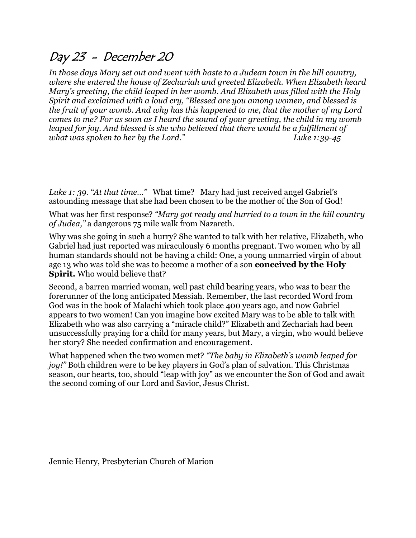### Day 23 - December 20

*In those days Mary set out and went with haste to a Judean town in the hill country, where she entered the house of Zechariah and greeted Elizabeth. When Elizabeth heard Mary's greeting, the child leaped in her womb. And Elizabeth was filled with the Holy Spirit and exclaimed with a loud cry, "Blessed are you among women, and blessed is the fruit of your womb. And why has this happened to me, that the mother of my Lord comes to me? For as soon as I heard the sound of your greeting, the child in my womb leaped for joy. And blessed is she who believed that there would be a fulfillment of what was spoken to her by the Lord." Luke 1:39-45*

*Luke 1: 39. "At that time…"* What time? Mary had just received angel Gabriel's astounding message that she had been chosen to be the mother of the Son of God!

What was her first response? *"Mary got ready and hurried to a town in the hill country of Judea,"* a dangerous 75 mile walk from Nazareth.

Why was she going in such a hurry? She wanted to talk with her relative, Elizabeth, who Gabriel had just reported was miraculously 6 months pregnant. Two women who by all human standards should not be having a child: One, a young unmarried virgin of about age 13 who was told she was to become a mother of a son **conceived by the Holy Spirit.** Who would believe that?

Second, a barren married woman, well past child bearing years, who was to bear the forerunner of the long anticipated Messiah. Remember, the last recorded Word from God was in the book of Malachi which took place 400 years ago, and now Gabriel appears to two women! Can you imagine how excited Mary was to be able to talk with Elizabeth who was also carrying a "miracle child?" Elizabeth and Zechariah had been unsuccessfully praying for a child for many years, but Mary, a virgin, who would believe her story? She needed confirmation and encouragement.

What happened when the two women met? *"The baby in Elizabeth's womb leaped for joy!"* Both children were to be key players in God's plan of salvation. This Christmas season, our hearts, too, should "leap with joy" as we encounter the Son of God and await the second coming of our Lord and Savior, Jesus Christ.

Jennie Henry, Presbyterian Church of Marion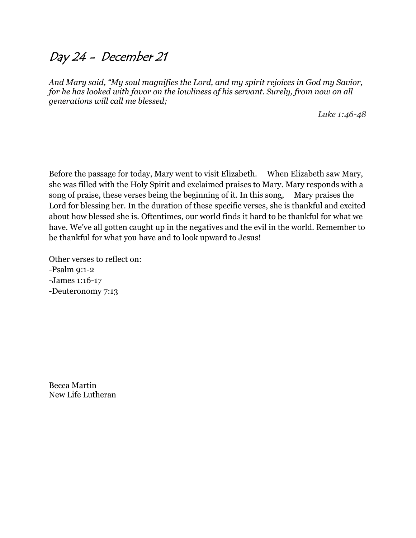### Day 24 - December 21

*And Mary said, "My soul magnifies the Lord, and my spirit rejoices in God my Savior, for he has looked with favor on the lowliness of his servant. Surely, from now on all generations will call me blessed;*

*Luke 1:46-48*

Before the passage for today, Mary went to visit Elizabeth. When Elizabeth saw Mary, she was filled with the Holy Spirit and exclaimed praises to Mary. Mary responds with a song of praise, these verses being the beginning of it. In this song, Mary praises the Lord for blessing her. In the duration of these specific verses, she is thankful and excited about how blessed she is. Oftentimes, our world finds it hard to be thankful for what we have. We've all gotten caught up in the negatives and the evil in the world. Remember to be thankful for what you have and to look upward to Jesus!

Other verses to reflect on: -Psalm 9:1-2 -James 1:16-17 -Deuteronomy 7:13

Becca Martin New Life Lutheran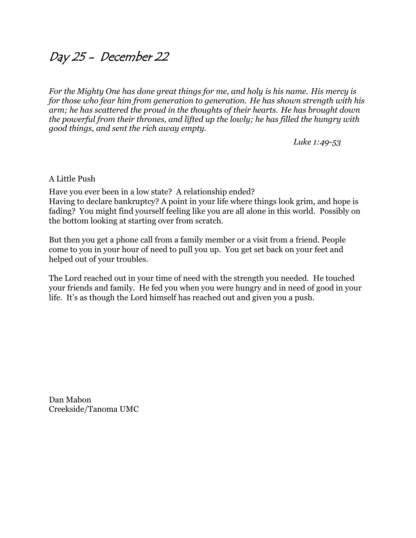### Day 25 - December 22

*For the Mighty One has done great things for me, and holy is his name. His mercy is for those who fear him from generation to generation. He has shown strength with his arm; he has scattered the proud in the thoughts of their hearts. He has brought down the powerful from their thrones, and lifted up the lowly; he has filled the hungry with good things, and sent the rich away empty.*

*Luke 1:49-53*

A Little Push

Have you ever been in a low state? A relationship ended? Having to declare bankruptcy? A point in your life where things look grim, and hope is fading? You might find yourself feeling like you are all alone in this world. Possibly on the bottom looking at starting over from scratch.

But then you get a phone call from a family member or a visit from a friend. People come to you in your hour of need to pull you up. You get set back on your feet and helped out of your troubles.

The Lord reached out in your time of need with the strength you needed. He touched your friends and family. He fed you when you were hungry and in need of good in your life. It's as though the Lord himself has reached out and given you a push.

Dan Mabon Creekside/Tanoma UMC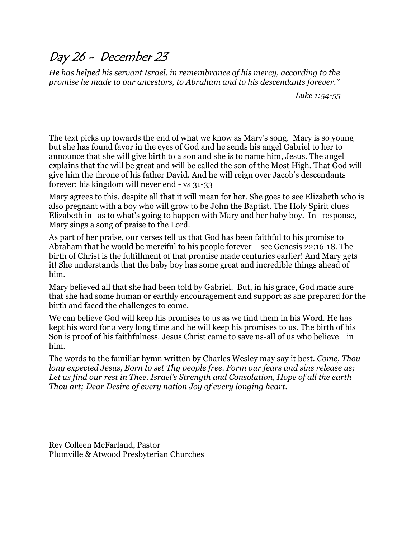### Day 26 - December 23

*He has helped his servant Israel, in remembrance of his mercy, according to the promise he made to our ancestors, to Abraham and to his descendants forever."* 

*Luke 1:54-55*

The text picks up towards the end of what we know as Mary's song. Mary is so young but she has found favor in the eyes of God and he sends his angel Gabriel to her to announce that she will give birth to a son and she is to name him, Jesus. The angel explains that the will be great and will be called the son of the Most High. That God will give him the throne of his father David. And he will reign over Jacob's descendants forever: his kingdom will never end - vs 31-33

Mary agrees to this, despite all that it will mean for her. She goes to see Elizabeth who is also pregnant with a boy who will grow to be John the Baptist. The Holy Spirit clues Elizabeth in as to what's going to happen with Mary and her baby boy. In response, Mary sings a song of praise to the Lord.

As part of her praise, our verses tell us that God has been faithful to his promise to Abraham that he would be merciful to his people forever – see Genesis 22:16-18. The birth of Christ is the fulfillment of that promise made centuries earlier! And Mary gets it! She understands that the baby boy has some great and incredible things ahead of him.

Mary believed all that she had been told by Gabriel. But, in his grace, God made sure that she had some human or earthly encouragement and support as she prepared for the birth and faced the challenges to come.

We can believe God will keep his promises to us as we find them in his Word. He has kept his word for a very long time and he will keep his promises to us. The birth of his Son is proof of his faithfulness. Jesus Christ came to save us-all of us who believe in him.

The words to the familiar hymn written by Charles Wesley may say it best. *Come, Thou long expected Jesus, Born to set Thy people free. Form our fears and sins release us; Let us find our rest in Thee. Israel's Strength and Consolation, Hope of all the earth Thou art; Dear Desire of every nation Joy of every longing heart.* 

Rev Colleen McFarland, Pastor Plumville & Atwood Presbyterian Churches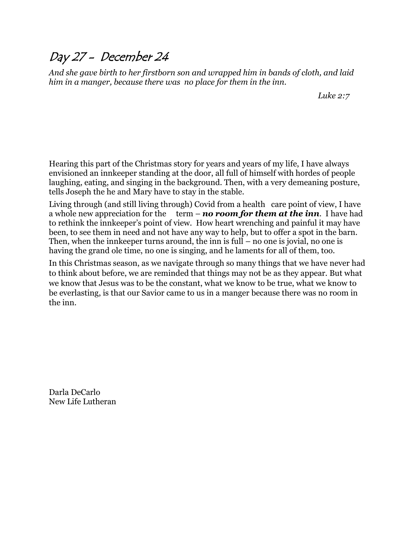### Day 27 - December 24

*And she gave birth to her firstborn son and wrapped him in bands of cloth, and laid him in a manger, because there was no place for them in the inn.*

*Luke 2:7*

Hearing this part of the Christmas story for years and years of my life, I have always envisioned an innkeeper standing at the door, all full of himself with hordes of people laughing, eating, and singing in the background. Then, with a very demeaning posture, tells Joseph the he and Mary have to stay in the stable.

Living through (and still living through) Covid from a health care point of view, I have a whole new appreciation for the term – *no room for them at the inn*. I have had to rethink the innkeeper's point of view. How heart wrenching and painful it may have been, to see them in need and not have any way to help, but to offer a spot in the barn. Then, when the innkeeper turns around, the inn is full – no one is jovial, no one is having the grand ole time, no one is singing, and he laments for all of them, too.

In this Christmas season, as we navigate through so many things that we have never had to think about before, we are reminded that things may not be as they appear. But what we know that Jesus was to be the constant, what we know to be true, what we know to be everlasting, is that our Savior came to us in a manger because there was no room in the inn.

Darla DeCarlo New Life Lutheran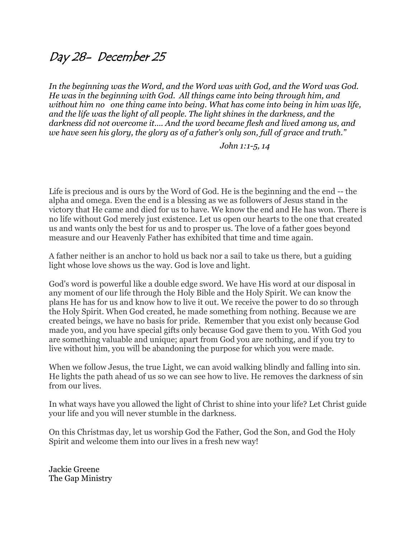### Day 28- December 25

*In the beginning was the Word, and the Word was with God, and the Word was God. He was in the beginning with God. All things came into being through him, and without him no one thing came into being. What has come into being in him was life, and the life was the light of all people. The light shines in the darkness, and the darkness did not overcome it…. And the word became flesh and lived among us, and we have seen his glory, the glory as of a father's only son, full of grace and truth."*

*John 1:1-5, 14*

Life is precious and is ours by the Word of God. He is the beginning and the end -- the alpha and omega. Even the end is a blessing as we as followers of Jesus stand in the victory that He came and died for us to have. We know the end and He has won. There is no life without God merely just existence. Let us open our hearts to the one that created us and wants only the best for us and to prosper us. The love of a father goes beyond measure and our Heavenly Father has exhibited that time and time again.

A father neither is an anchor to hold us back nor a sail to take us there, but a guiding light whose love shows us the way. God is love and light.

God's word is powerful like a double edge sword. We have His word at our disposal in any moment of our life through the Holy Bible and the Holy Spirit. We can know the plans He has for us and know how to live it out. We receive the power to do so through the Holy Spirit. When God created, he made something from nothing. Because we are created beings, we have no basis for pride. Remember that you exist only because God made you, and you have special gifts only because God gave them to you. With God you are something valuable and unique; apart from God you are nothing, and if you try to live without him, you will be abandoning the purpose for which you were made.

When we follow Jesus, the true Light, we can avoid walking blindly and falling into sin. He lights the path ahead of us so we can see how to live. He removes the darkness of sin from our lives.

In what ways have you allowed the light of Christ to shine into your life? Let Christ guide your life and you will never stumble in the darkness.

On this Christmas day, let us worship God the Father, God the Son, and God the Holy Spirit and welcome them into our lives in a fresh new way!

Jackie Greene The Gap Ministry